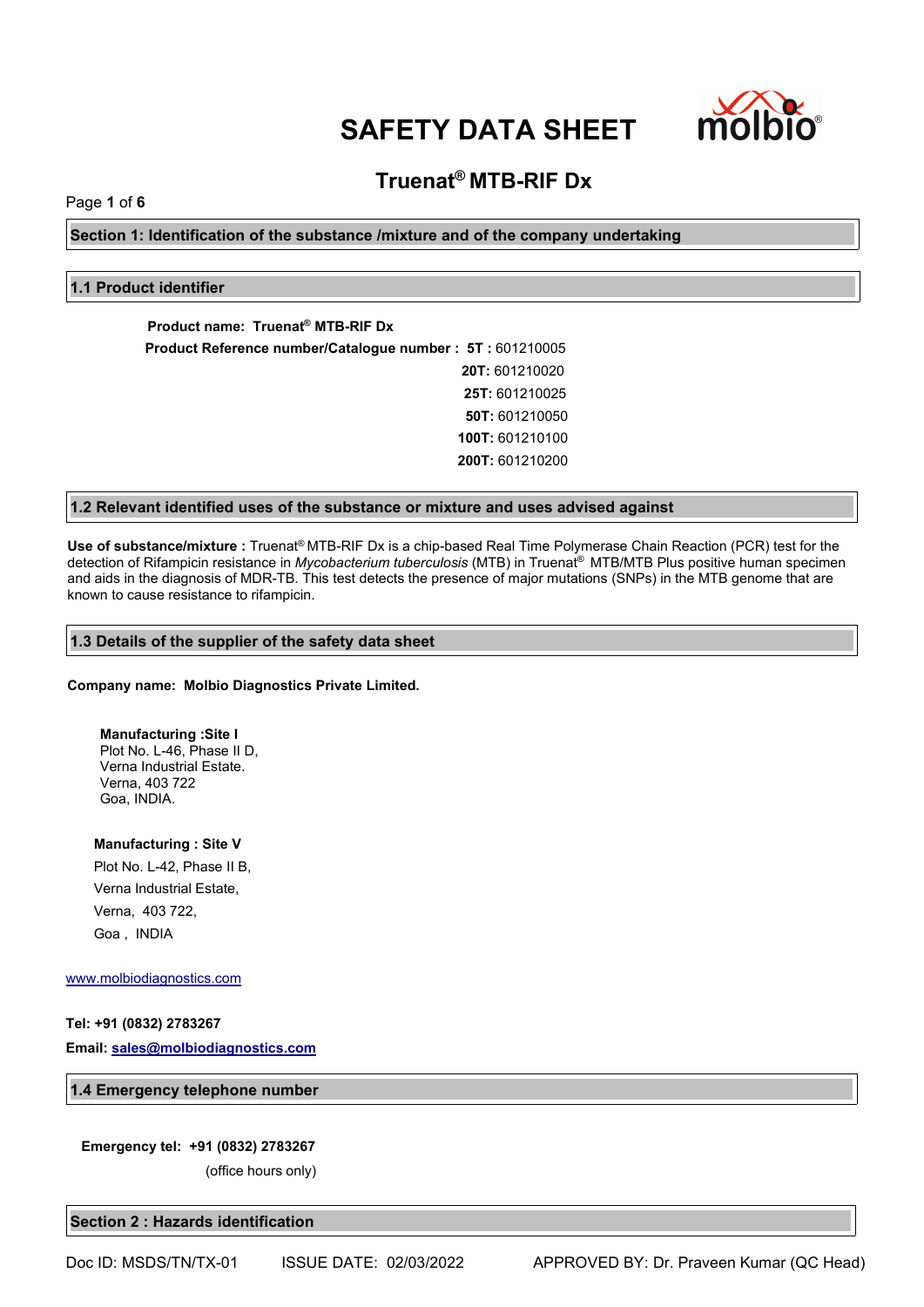

# **Truenat® MTB-RIF Dx**

Page **1** of **6**

**Section 1: Identification of the substance /mixture and of the company undertaking**

# **1.1 Product identifier**

**Product name: Truenat® MTB-RIF Dx Product Reference number/Catalogue number : 5T :** 601210005 **20T:** 601210020 **25T:** 601210025 **50T:** 601210050 **100T:** 601210100 **200T:** 601210200

# **1.2 Relevant identified uses of the substance or mixture and uses advised against**

**Use of substance/mixture :** Truenat® MTB-RIF Dx is a chip-based Real Time Polymerase Chain Reaction (PCR) test for the detection of Rifampicin resistance in *Mycobacterium tuberculosis* (MTB) in Truenat® MTB/MTB Plus positive human specimen and aids in the diagnosis of MDR-TB. This test detects the presence of major mutations (SNPs) in the MTB genome that are known to cause resistance to rifampicin.

# **1.3 Details of the supplier of the safety data sheet**

**Company name: Molbio Diagnostics Private Limited.**

**Manufacturing :Site I** Plot No. L-46, Phase II D, Verna Industrial Estate. Verna, 403 722 Goa, INDIA.

**Manufacturing : Site V**

Plot No. L-42, Phase II B, Verna Industrial Estate, Verna, 403 722, Goa , INDIA

[www.molbiodiagnostics.com](http://www.molbiodiagnostics.com)

# **Tel: +91 (0832) 2783267**

**Email: [sales@molbiodiagnostics.com](mailto:sales@molbiodiagnostics.com)**

**1.4 Emergency telephone number**

#### **Emergency tel: +91 (0832) 2783267**

(office hours only)

**Section 2 : Hazards identification**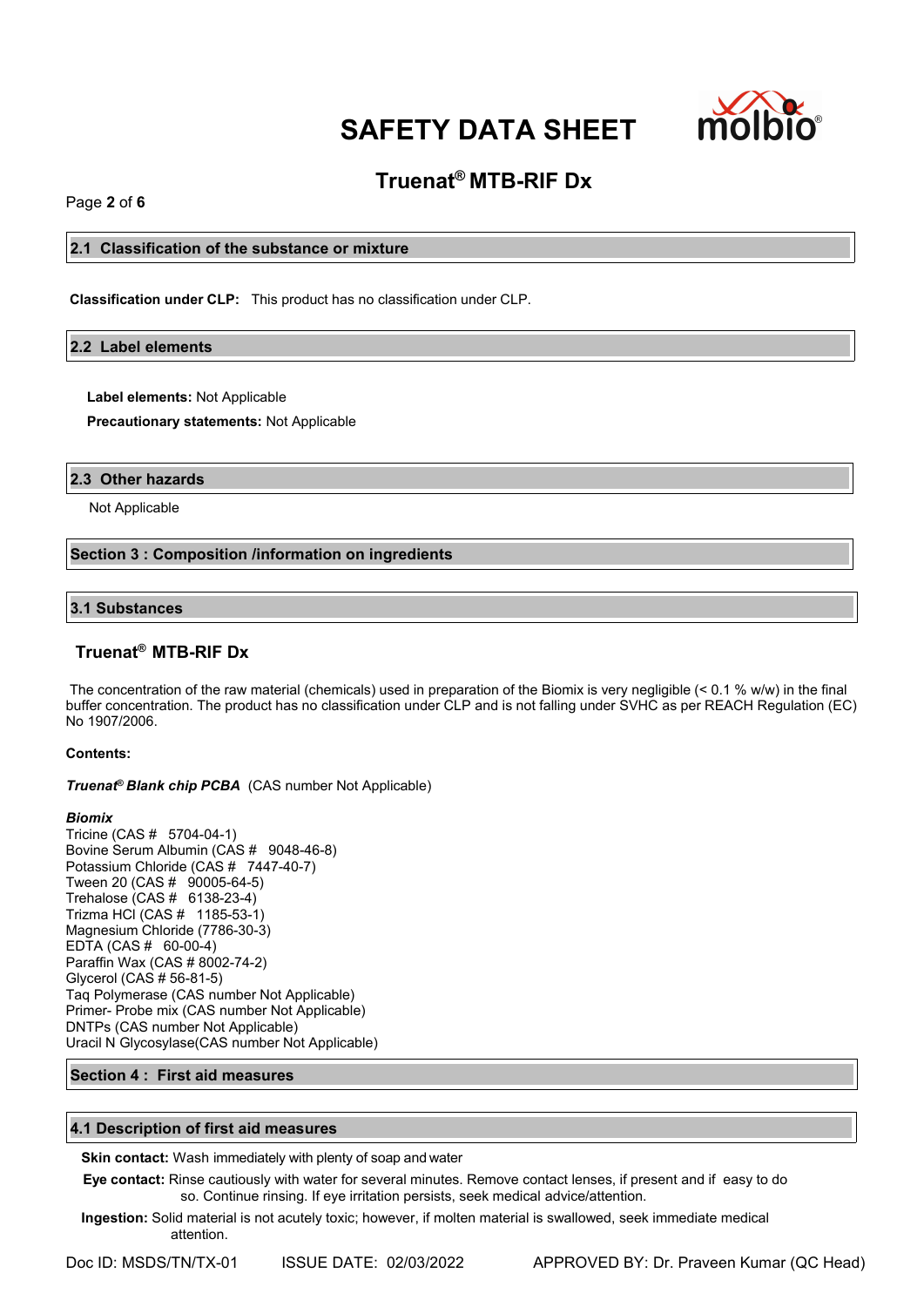

# **Truenat® MTB-RIF Dx**

Page **2** of **6**

# **2.1 Classification of the substance or mixture**

**Classification under CLP:** This product has no classification under CLP.

### **2.2 Label elements**

**Label elements:** Not Applicable

**Precautionary statements:** Not Applicable

### **2.3 Other hazards**

Not Applicable

# **Section 3 : Composition /information on ingredients**

# **3.1 Substances**

# **Truenat® MTB-RIF Dx**

The concentration of the raw material (chemicals) used in preparation of the Biomix is very negligible (< 0.1 % w/w) in the final buffer concentration. The product has no classification under CLP and is not falling under SVHC as per REACH Regulation (EC) No 1907/2006.

### **Contents:**

*Truenat<sup>®</sup> Blank chip PCBA* (CAS number Not Applicable)

#### *Biomix*

Tricine (CAS # 5704-04-1) Bovine Serum Albumin (CAS # 9048-46-8) Potassium Chloride (CAS # 7447-40-7) Tween 20 (CAS # 90005-64-5) Trehalose (CAS # 6138-23-4) Trizma HCl (CAS # 1185-53-1) Magnesium Chloride (7786-30-3) EDTA (CAS # 60-00-4) Paraffin Wax (CAS # 8002-74-2) Glycerol (CAS # 56-81-5) Taq Polymerase (CAS number Not Applicable) Primer- Probe mix (CAS number Not Applicable) DNTPs (CAS number Not Applicable) Uracil N Glycosylase(CAS number Not Applicable)

# **Section 4 : First aid measures**

# **4.1 Description of first aid measures**

**Skin contact:** Wash immediately with plenty of soap and water

**Eye contact:** Rinse cautiously with water for several minutes. Remove contact lenses, if present and if easy to do so. Continue rinsing. If eye irritation persists, seek medical advice/attention.

**Ingestion:** Solid material is not acutely toxic; however, if molten material is swallowed, seek immediate medical attention.

Doc ID: MSDS/TN/TX-01 ISSUE DATE: 02/03/2022 APPROVED BY: Dr. Praveen Kumar (QC Head)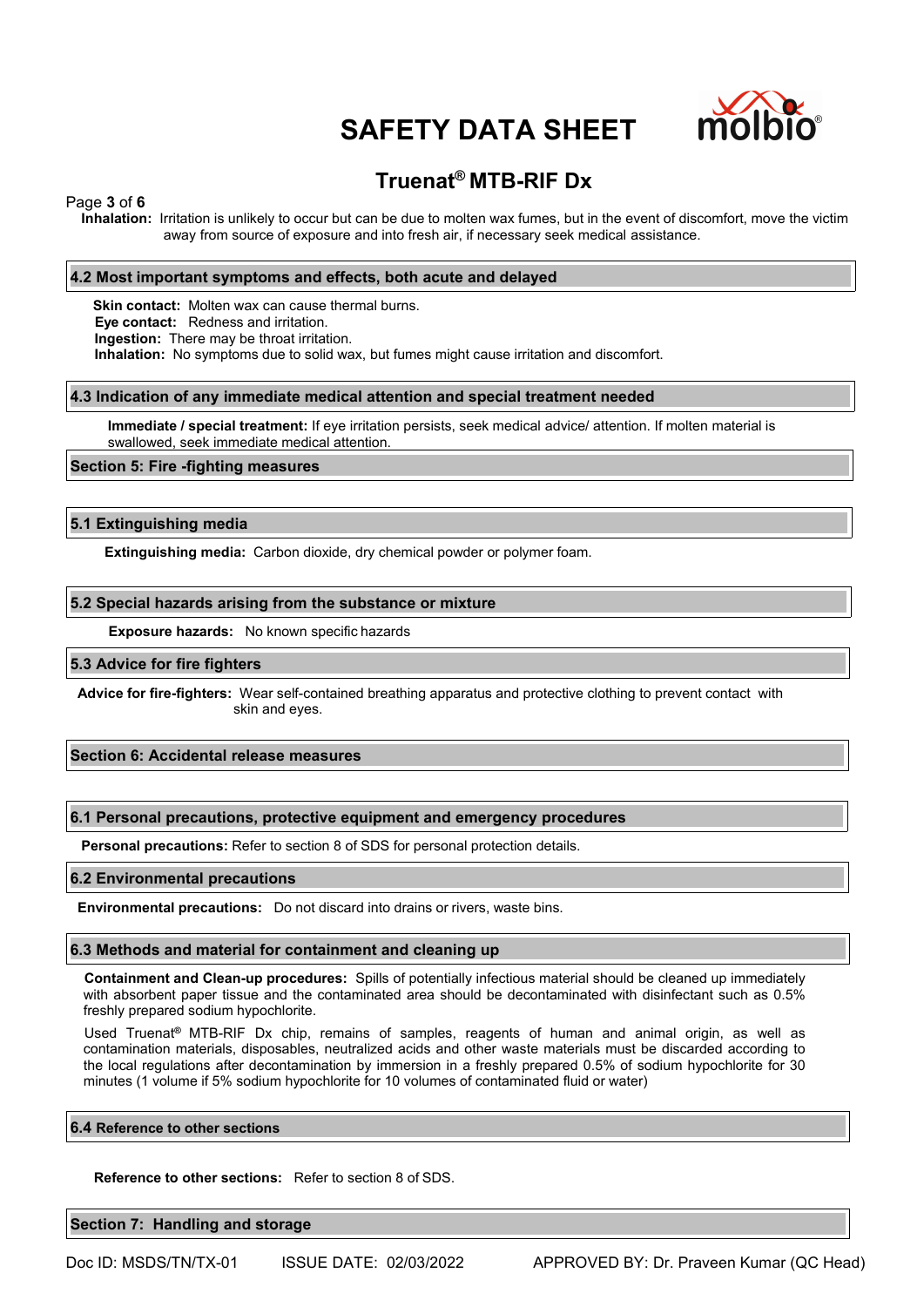

# **Truenat® MTB-RIF Dx**

### Page **3** of **6**

**Inhalation:** Irritation is unlikely to occur but can be due to molten wax fumes, but in the event of discomfort, move the victim away from source of exposure and into fresh air, if necessary seek medical assistance.

### **4.2 Most important symptoms and effects, both acute and delayed**

**Skin contact:** Molten wax can cause thermal burns. **Eye contact:** Redness and irritation. **Ingestion:** There may be throat irritation. **Inhalation:** No symptoms due to solid wax, but fumes might cause irritation and discomfort.

#### **4.3 Indication of any immediate medical attention and special treatment needed**

**Immediate / special treatment:** If eye irritation persists, seek medical advice/ attention. If molten material is swallowed, seek immediate medical attention.

### **Section 5: Fire -fighting measures**

### **5.1 Extinguishing media**

**Extinguishing media:** Carbon dioxide, dry chemical powder or polymer foam.

### **5.2 Special hazards arising from the substance or mixture**

**Exposure hazards:** No known specific hazards

#### **5.3 Advice for fire fighters**

**Advice for fire-fighters:** Wear self-contained breathing apparatus and protective clothing to prevent contact with skin and eyes.

# **Section 6: Accidental release measures**

#### **6.1 Personal precautions, protective equipment and emergency procedures**

**Personal precautions:** Refer to section 8 of SDS for personal protection details.

#### **6.2 Environmental precautions**

**Environmental precautions:** Do not discard into drains or rivers, waste bins.

#### **6.3 Methods and material for containment and cleaning up**

**Containment and Clean-up procedures:** Spills of potentially infectious material should be cleaned up immediately with absorbent paper tissue and the contaminated area should be decontaminated with disinfectant such as 0.5% freshly prepared sodium hypochlorite.

Used Truenat**®** MTB-RIF Dx chip, remains of samples, reagents of human and animal origin, as well as contamination materials, disposables, neutralized acids and other waste materials must be discarded according to the local regulations after decontamination by immersion in a freshly prepared 0.5% of sodium hypochlorite for 30 minutes (1 volume if 5% sodium hypochlorite for10 volumes of contaminated fluid or water)

#### **6.4 Reference to other sections**

**Reference to other sections:** Refer to section 8 of SDS.

**Section 7: Handling and storage**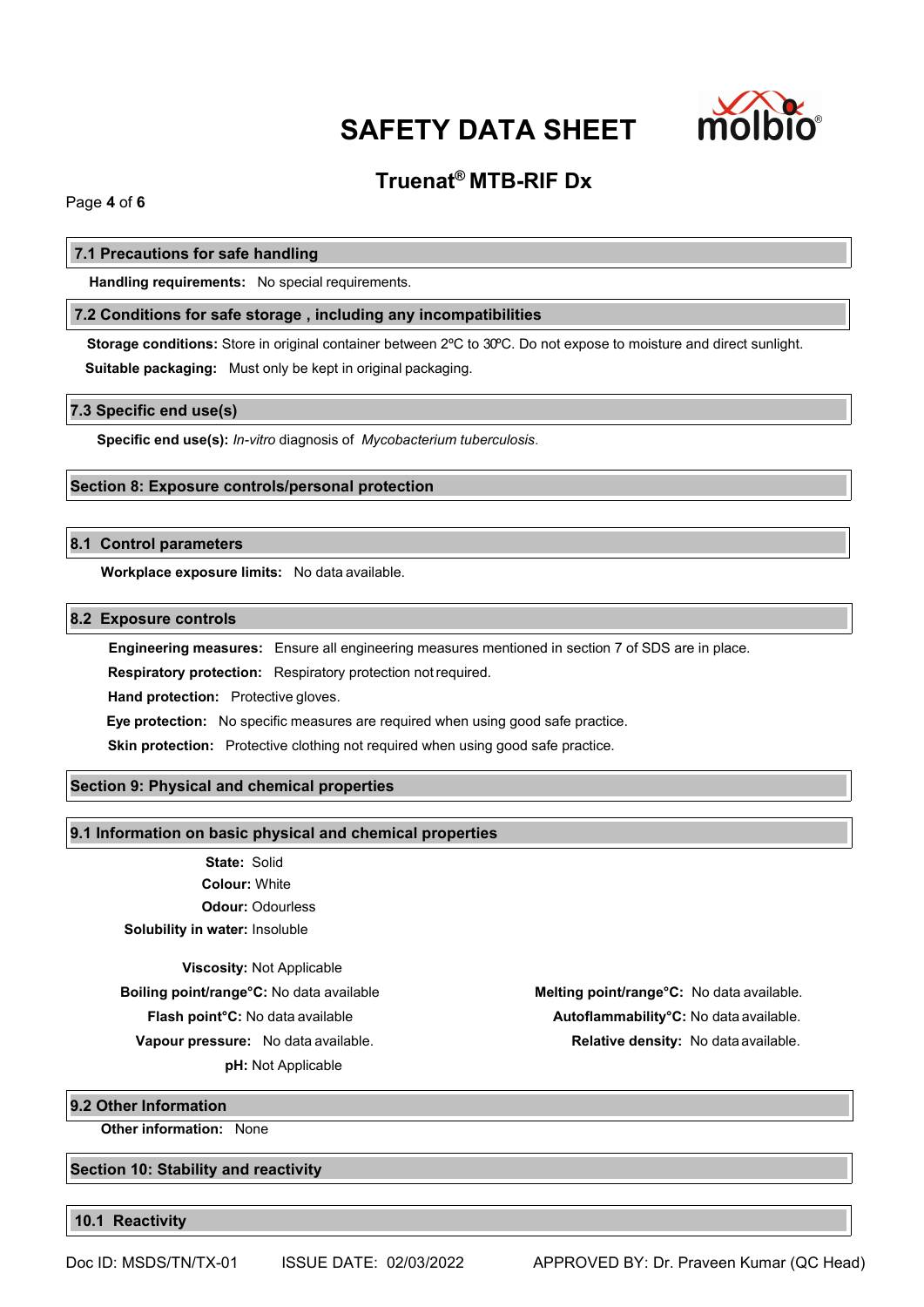

# **Truenat® MTB-RIF Dx**

Page **4** of **6**

# **7.1 Precautions for safe handling**

**Handling requirements:** No special requirements.

# **7.2 Conditions for safe storage , including any incompatibilities**

**Storage conditions:** Store in original container between 2ºC to 30ºC. Do not expose to moisture and direct sunlight. **Suitable packaging:** Must only be kept in original packaging.

### **7.3 Specific end use(s)**

**Specific end use(s):** *In-vitro* diagnosis of *Mycobacterium tuberculosis*.

# **Section 8: Exposure controls/personal protection**

# **8.1 Control parameters**

**Workplace exposure limits:** No data available.

# **8.2 Exposure controls**

**Engineering measures:** Ensure all engineering measures mentioned in section 7 of SDS are in place.

**Respiratory protection:** Respiratory protection notrequired.

**Hand protection:** Protective gloves.

**Eye protection:** No specific measures are required when using good safe practice.

**Skin protection:** Protective clothing not required when using good safe practice.

# **Section 9: Physical and chemical properties**

# **9.1 Information on basic physical and chemical properties**

**State:** Solid **Colour:** White **Odour:** Odourless **Solubility in water:** Insoluble

**Viscosity:** Not Applicable

**pH:** Not Applicable

**Boiling point/range°C:** No data available **Melting point/range°C:** No data available. **Flash point°C:** No data available **Autoflammability°C:** No data available. **Vapour pressure:** No data available. **Relative density:** No data available.

**9.2 Other Information**

**Other information:** None

**Section 10: Stability and reactivity**

**10.1 Reactivity**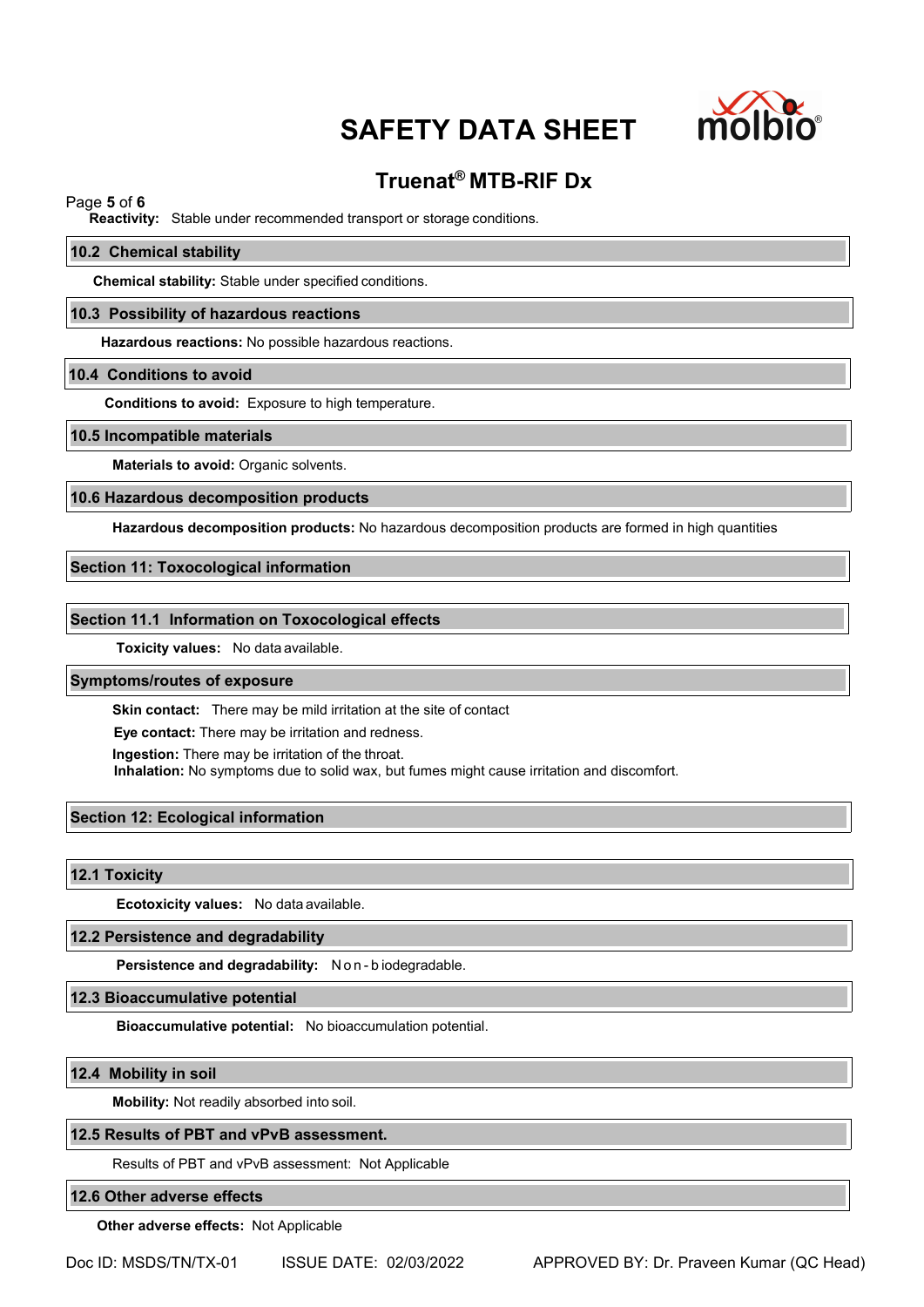

# **Truenat® MTB-RIF Dx**

# Page **5** of **6**

**Reactivity:** Stable under recommended transport or storage conditions.

#### **10.2 Chemical stability**

**Chemical stability:** Stable under specified conditions.

### **10.3 Possibility of hazardous reactions**

**Hazardous reactions:** No possible hazardous reactions.

#### **10.4 Conditions to avoid**

**Conditions to avoid:** Exposure to high temperature.

#### **10.5 Incompatible materials**

**Materials to avoid:** Organic solvents.

#### **10.6 Hazardous decomposition products**

**Hazardous decomposition products:** No hazardous decomposition products are formed in high quantities

# **Section 11: Toxocological information**

#### **Section 11.1 Information on Toxocological effects**

**Toxicity values:** No data available.

# **Symptoms/routes of exposure**

**Skin contact:** There may be mild irritation at the site of contact

**Eye contact:** There may be irritation and redness.

**Ingestion:** There may be irritation of the throat.

**Inhalation:** No symptoms due to solid wax, but fumes might cause irritation and discomfort.

# **Section 12: Ecological information**

**12.1 Toxicity**

**Ecotoxicity values:** No data available.

#### **12.2 Persistence and degradability**

**Persistence and degradability:** N o n - b iodegradable.

**12.3 Bioaccumulative potential**

**Bioaccumulative potential:** No bioaccumulation potential.

#### **12.4 Mobility in soil**

**Mobility:** Not readily absorbed into soil.

#### **12.5 Results of PBT and vPvB assessment.**

Results of PBT and vPvB assessment: Not Applicable

# **12.6 Other adverse effects**

**Other adverse effects:** Not Applicable